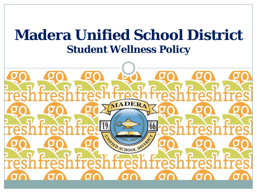## **Madera Unified School District Student Wellness Policy**

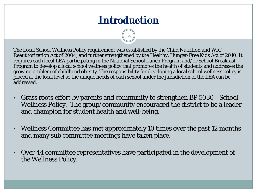## **Introduction**

2

The Local School Wellness Policy requirement was established by the Child Nutrition and WIC Reauthorization Act of 2004, and further strengthened by the Healthy, Hunger-Free Kids Act of 2010. It requires each local LEA participating in the National School Lunch Program and/or School Breakfast Program to develop a local school wellness policy that promotes the health of students and addresses the growing problem of childhood obesity. The responsibility for developing a local school wellness policy is placed at the local level so the unique needs of each school under the jurisdiction of the LEA can be addressed.

- Grass roots effort by parents and community to strengthen BP 5030 School Wellness Policy. The group/community encouraged the district to be a leader and champion for student health and well-being.
- Wellness Committee has met approximately 10 times over the past 12 months and many sub committee meetings have taken place.
- Over 44 committee representatives have participated in the development of the Wellness Policy.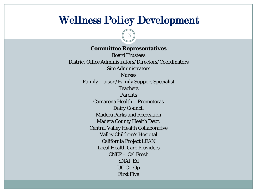#### Wellness Policy Development

3

#### **Committee Representatives**

Board Trustees District Office Administrators/Directors/Coordinators Site Administrators Nurses Family Liaison/Family Support Specialist Teachers Parents Camarena Health – Promotoras Dairy Council Madera Parks and Recreation Madera County Health Dept. Central Valley Health Collaborative Valley Children's Hospital California Project LEAN Local Health Care Providers CNEP – Cal Fresh SNAP Ed UC Co-Op First Five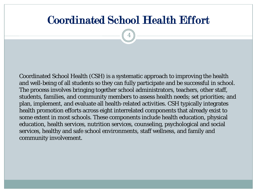### Coordinated School Health Effort

4

Coordinated School Health (CSH) is a systematic approach to improving the health and well-being of all students so they can fully participate and be successful in school. The process involves bringing together school administrators, teachers, other staff, students, families, and community members to assess health needs; set priorities; and plan, implement, and evaluate all health-related activities. CSH typically integrates health promotion efforts across eight interrelated components that already exist to some extent in most schools. These components include health education, physical education, health services, nutrition services, counseling, psychological and social services, healthy and safe school environments, staff wellness, and family and community involvement.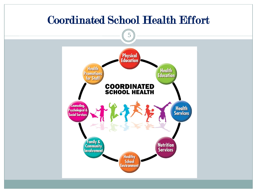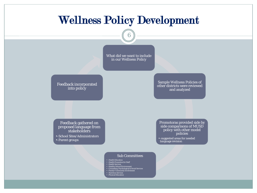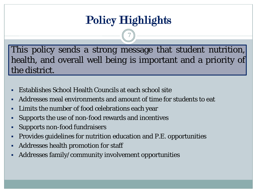## Policy Highlights

7

This policy sends a strong message that student nutrition, health, and overall well being is important and a priority of the district.

- Establishes School Health Councils at each school site
- Addresses meal environments and amount of time for students to eat
- Limits the number of food celebrations each year
- Supports the use of non-food rewards and incentives
- Supports non-food fundraisers
- Provides guidelines for nutrition education and P.E. opportunities
- Addresses health promotion for staff
- Addresses family/community involvement opportunities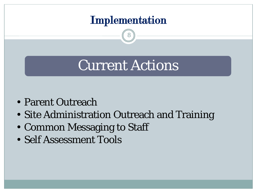

8

# Current Actions

- Parent Outreach
- Site Administration Outreach and Training
- Common Messaging to Staff
- Self Assessment Tools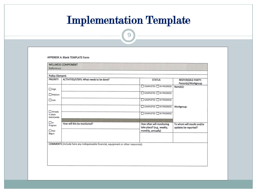## Implementation Template

9

#### APPENDIX A: Blank TEMPLATE Form

| <b>Policy Element:</b>              |                                                                                    |                                                  |                                                  |
|-------------------------------------|------------------------------------------------------------------------------------|--------------------------------------------------|--------------------------------------------------|
| <b>PRIORITY</b>                     | ACTIVITIES/STEPS: What needs to be done?                                           | <b>STATUS</b>                                    | <b>RESPONSIBLE PARTY:</b><br>Person(s)/Workgroup |
| $\Box$ High                         |                                                                                    | COMPLETED IN PROGRESS                            | Name(s):                                         |
| $\Box$ Medium                       |                                                                                    | COMPLETED IN PROGRESS                            |                                                  |
| $\Box$ Low                          |                                                                                    | COMPLETED IN PROGRESS                            |                                                  |
|                                     |                                                                                    | COMPLETED IN PROGRESS                            | Workgroup:                                       |
| Already<br>in place<br>districtwide |                                                                                    | COMPLETED IN PROGRESS                            |                                                  |
| $\Box$ In                           | How will this be monitored?                                                        | How often will monitoring                        | To whom will results and/or                      |
| Progress<br>$\Box$ Not              |                                                                                    | take place? (e.g., weekly,<br>monthly, annually) | updates be reported?                             |
| Begun                               |                                                                                    |                                                  |                                                  |
|                                     | COMMENTS (Include here any indispensable financial, equipment or other resources): |                                                  |                                                  |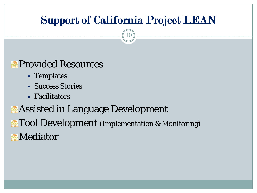## Support of California Project LEAN

10

#### **Provided Resources**

- Templates
- Success Stories
- Facilitators

**Assisted in Language Development Tool Development** (Implementation & Monitoring) **Mediator**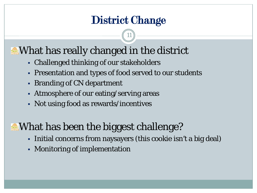## District Change

11

## **What has really changed in the district**

- Challenged thinking of our stakeholders
- Presentation and types of food served to our students
- **Branding of CN department**
- Atmosphere of our eating/serving areas
- Not using food as rewards/incentives

## **What has been the biggest challenge?**

- Initial concerns from naysayers (this cookie isn't a big deal)
- Monitoring of implementation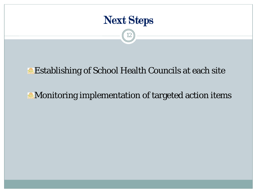

12

#### **Establishing of School Health Councils at each site**

#### **Monitoring implementation of targeted action items**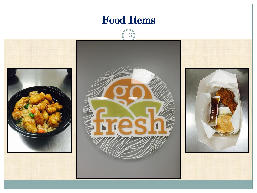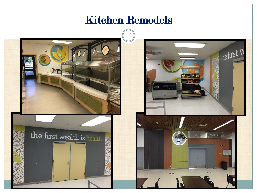### Kitchen Remodels



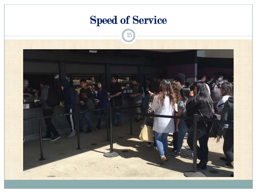